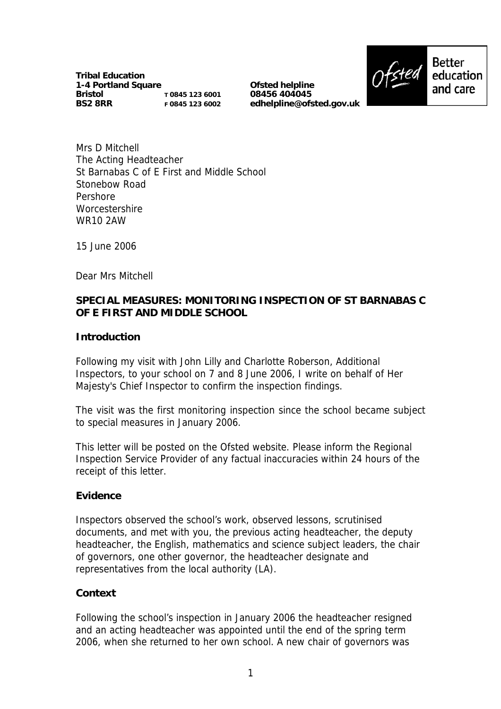**Tribal Education 1-4 Portland Square Bristol BS2 8RR T 0845 123 6001 F 0845 123 6002**

**Ofsted helpline 08456 404045 edhelpline@ofsted.gov.uk**



Mrs D Mitchell The Acting Headteacher St Barnabas C of E First and Middle School Stonebow Road Pershore **Worcestershire** WR10 2AW

15 June 2006

Dear Mrs Mitchell

### **SPECIAL MEASURES: MONITORING INSPECTION OF ST BARNABAS C OF E FIRST AND MIDDLE SCHOOL**

#### **Introduction**

Following my visit with John Lilly and Charlotte Roberson, Additional Inspectors, to your school on 7 and 8 June 2006, I write on behalf of Her Majesty's Chief Inspector to confirm the inspection findings.

The visit was the first monitoring inspection since the school became subject to special measures in January 2006.

This letter will be posted on the Ofsted website. Please inform the Regional Inspection Service Provider of any factual inaccuracies within 24 hours of the receipt of this letter.

#### **Evidence**

Inspectors observed the school's work, observed lessons, scrutinised documents, and met with you, the previous acting headteacher, the deputy headteacher, the English, mathematics and science subject leaders, the chair of governors, one other governor, the headteacher designate and representatives from the local authority (LA).

#### **Context**

Following the school's inspection in January 2006 the headteacher resigned and an acting headteacher was appointed until the end of the spring term 2006, when she returned to her own school. A new chair of governors was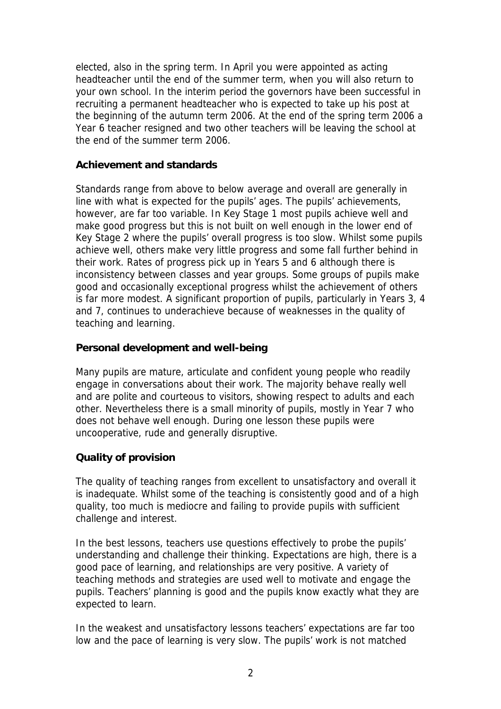elected, also in the spring term. In April you were appointed as acting headteacher until the end of the summer term, when you will also return to your own school. In the interim period the governors have been successful in recruiting a permanent headteacher who is expected to take up his post at the beginning of the autumn term 2006. At the end of the spring term 2006 a Year 6 teacher resigned and two other teachers will be leaving the school at the end of the summer term 2006.

### **Achievement and standards**

Standards range from above to below average and overall are generally in line with what is expected for the pupils' ages. The pupils' achievements, however, are far too variable. In Key Stage 1 most pupils achieve well and make good progress but this is not built on well enough in the lower end of Key Stage 2 where the pupils' overall progress is too slow. Whilst some pupils achieve well, others make very little progress and some fall further behind in their work. Rates of progress pick up in Years 5 and 6 although there is inconsistency between classes and year groups. Some groups of pupils make good and occasionally exceptional progress whilst the achievement of others is far more modest. A significant proportion of pupils, particularly in Years 3, 4 and 7, continues to underachieve because of weaknesses in the quality of teaching and learning.

### **Personal development and well-being**

Many pupils are mature, articulate and confident young people who readily engage in conversations about their work. The majority behave really well and are polite and courteous to visitors, showing respect to adults and each other. Nevertheless there is a small minority of pupils, mostly in Year 7 who does not behave well enough. During one lesson these pupils were uncooperative, rude and generally disruptive.

# **Quality of provision**

The quality of teaching ranges from excellent to unsatisfactory and overall it is inadequate. Whilst some of the teaching is consistently good and of a high quality, too much is mediocre and failing to provide pupils with sufficient challenge and interest.

In the best lessons, teachers use questions effectively to probe the pupils' understanding and challenge their thinking. Expectations are high, there is a good pace of learning, and relationships are very positive. A variety of teaching methods and strategies are used well to motivate and engage the pupils. Teachers' planning is good and the pupils know exactly what they are expected to learn.

In the weakest and unsatisfactory lessons teachers' expectations are far too low and the pace of learning is very slow. The pupils' work is not matched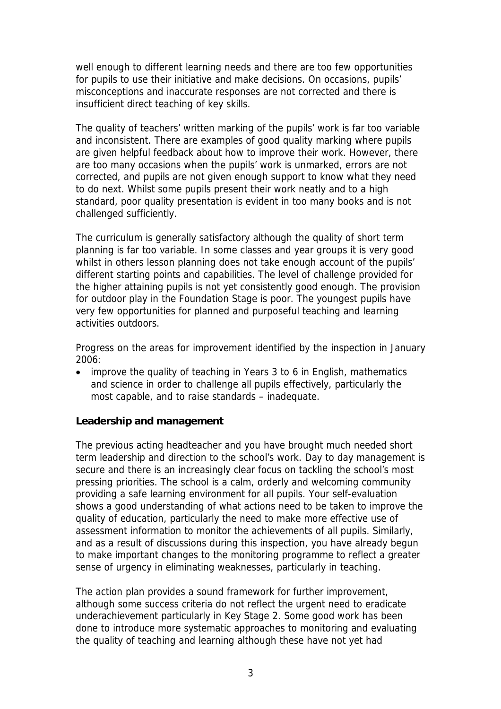well enough to different learning needs and there are too few opportunities for pupils to use their initiative and make decisions. On occasions, pupils' misconceptions and inaccurate responses are not corrected and there is insufficient direct teaching of key skills.

The quality of teachers' written marking of the pupils' work is far too variable and inconsistent. There are examples of good quality marking where pupils are given helpful feedback about how to improve their work. However, there are too many occasions when the pupils' work is unmarked, errors are not corrected, and pupils are not given enough support to know what they need to do next. Whilst some pupils present their work neatly and to a high standard, poor quality presentation is evident in too many books and is not challenged sufficiently.

The curriculum is generally satisfactory although the quality of short term planning is far too variable. In some classes and year groups it is very good whilst in others lesson planning does not take enough account of the pupils' different starting points and capabilities. The level of challenge provided for the higher attaining pupils is not yet consistently good enough. The provision for outdoor play in the Foundation Stage is poor. The youngest pupils have very few opportunities for planned and purposeful teaching and learning activities outdoors.

Progress on the areas for improvement identified by the inspection in January 2006:

• improve the quality of teaching in Years 3 to 6 in English, mathematics and science in order to challenge all pupils effectively, particularly the most capable, and to raise standards – inadequate.

#### **Leadership and management**

The previous acting headteacher and you have brought much needed short term leadership and direction to the school's work. Day to day management is secure and there is an increasingly clear focus on tackling the school's most pressing priorities. The school is a calm, orderly and welcoming community providing a safe learning environment for all pupils. Your self-evaluation shows a good understanding of what actions need to be taken to improve the quality of education, particularly the need to make more effective use of assessment information to monitor the achievements of all pupils. Similarly, and as a result of discussions during this inspection, you have already begun to make important changes to the monitoring programme to reflect a greater sense of urgency in eliminating weaknesses, particularly in teaching.

The action plan provides a sound framework for further improvement, although some success criteria do not reflect the urgent need to eradicate underachievement particularly in Key Stage 2. Some good work has been done to introduce more systematic approaches to monitoring and evaluating the quality of teaching and learning although these have not yet had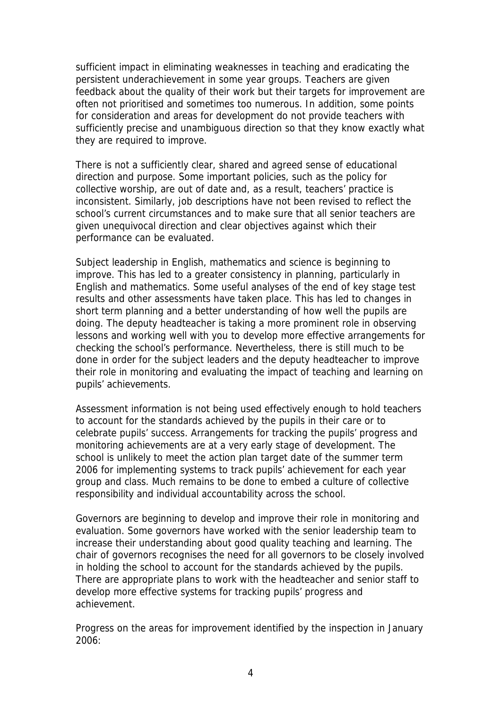sufficient impact in eliminating weaknesses in teaching and eradicating the persistent underachievement in some year groups. Teachers are given feedback about the quality of their work but their targets for improvement are often not prioritised and sometimes too numerous. In addition, some points for consideration and areas for development do not provide teachers with sufficiently precise and unambiguous direction so that they know exactly what they are required to improve.

There is not a sufficiently clear, shared and agreed sense of educational direction and purpose. Some important policies, such as the policy for collective worship, are out of date and, as a result, teachers' practice is inconsistent. Similarly, job descriptions have not been revised to reflect the school's current circumstances and to make sure that all senior teachers are given unequivocal direction and clear objectives against which their performance can be evaluated.

Subject leadership in English, mathematics and science is beginning to improve. This has led to a greater consistency in planning, particularly in English and mathematics. Some useful analyses of the end of key stage test results and other assessments have taken place. This has led to changes in short term planning and a better understanding of how well the pupils are doing. The deputy headteacher is taking a more prominent role in observing lessons and working well with you to develop more effective arrangements for checking the school's performance. Nevertheless, there is still much to be done in order for the subject leaders and the deputy headteacher to improve their role in monitoring and evaluating the impact of teaching and learning on pupils' achievements.

Assessment information is not being used effectively enough to hold teachers to account for the standards achieved by the pupils in their care or to celebrate pupils' success. Arrangements for tracking the pupils' progress and monitoring achievements are at a very early stage of development. The school is unlikely to meet the action plan target date of the summer term 2006 for implementing systems to track pupils' achievement for each year group and class. Much remains to be done to embed a culture of collective responsibility and individual accountability across the school.

Governors are beginning to develop and improve their role in monitoring and evaluation. Some governors have worked with the senior leadership team to increase their understanding about good quality teaching and learning. The chair of governors recognises the need for all governors to be closely involved in holding the school to account for the standards achieved by the pupils. There are appropriate plans to work with the headteacher and senior staff to develop more effective systems for tracking pupils' progress and achievement.

Progress on the areas for improvement identified by the inspection in January 2006: